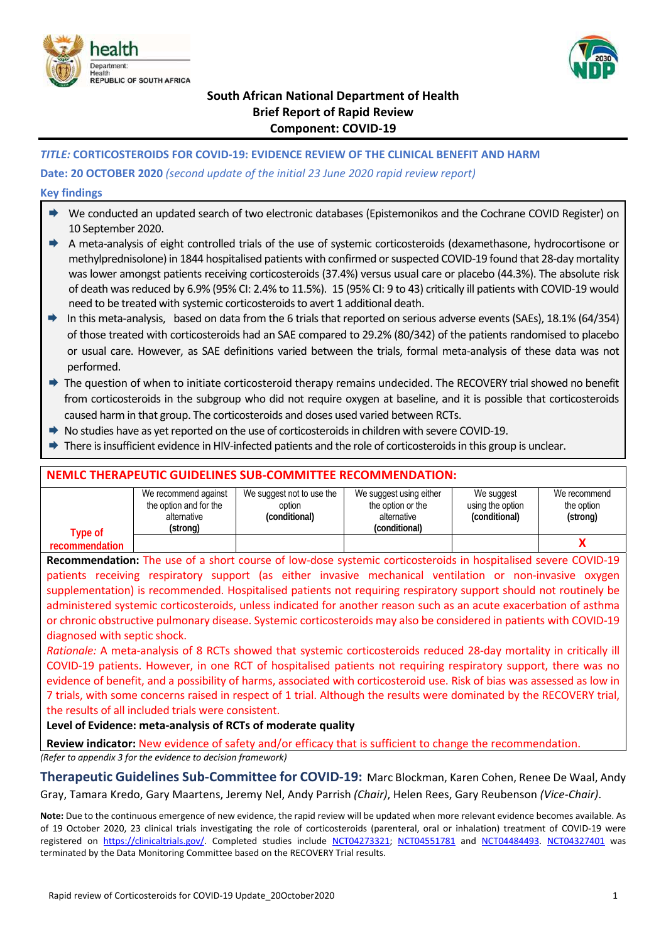



# **South African National Department of Health Brief Report of Rapid Review Component: COVID‐19**

### *TITLE:* **CORTICOSTEROIDS FOR COVID‐19: EVIDENCE REVIEW OF THE CLINICAL BENEFIT AND HARM**

#### **Date: 20 OCTOBER 2020** *(second update of the initial 23 June 2020 rapid review report)*

#### **Key findings**

- ◆ We conducted an updated search of two electronic databases (Epistemonikos and the Cochrane COVID Register) on 10 September 2020.
- A meta‐analysis of eight controlled trials of the use of systemic corticosteroids (dexamethasone, hydrocortisone or methylprednisolone) in 1844 hospitalised patients with confirmed or suspected COVID‐19 found that 28‐day mortality was lower amongst patients receiving corticosteroids (37.4%) versus usual care or placebo (44.3%). The absolute risk of death was reduced by 6.9% (95% CI: 2.4% to 11.5%). 15 (95% CI: 9 to 43) critically ill patients with COVID‐19 would need to be treated with systemic corticosteroids to avert 1 additional death.
- In this meta-analysis, based on data from the 6 trials that reported on serious adverse events (SAEs), 18.1% (64/354) of those treated with corticosteroids had an SAE compared to 29.2% (80/342) of the patients randomised to placebo or usual care. However, as SAE definitions varied between the trials, formal meta‐analysis of these data was not performed.
- → The question of when to initiate corticosteroid therapy remains undecided. The RECOVERY trial showed no benefit from corticosteroids in the subgroup who did not require oxygen at baseline, and it is possible that corticosteroids caused harm in that group. The corticosteroids and doses used varied between RCTs.
- → No studies have as yet reported on the use of corticosteroids in children with severe COVID-19.
- There is insufficient evidence in HIV‐infected patients and the role of corticosteroids in this group is unclear.

### **NEMLC THERAPEUTIC GUIDELINES SUB‐COMMITTEE RECOMMENDATION:**

|                | We recommend against   | We suggest not to use the | We suggest using either | We suggest       | We recommend |
|----------------|------------------------|---------------------------|-------------------------|------------------|--------------|
|                | the option and for the | option                    | the option or the       | using the option | the option   |
|                | alternative            | (conditional)             | alternative             | (conditional)    | (strong)     |
| Type of        | (strong)               |                           | (conditional)           |                  |              |
| recommendation |                        |                           |                         |                  |              |

**Recommendation:** The use of a short course of low‐dose systemic corticosteroids in hospitalised severe COVID‐19 patients receiving respiratory support (as either invasive mechanical ventilation or non-invasive oxygen supplementation) is recommended. Hospitalised patients not requiring respiratory support should not routinely be administered systemic corticosteroids, unless indicated for another reason such as an acute exacerbation of asthma or chronic obstructive pulmonary disease. Systemic corticosteroids may also be considered in patients with COVID‐19 diagnosed with septic shock.

*Rationale:* A meta‐analysis of 8 RCTs showed that systemic corticosteroids reduced 28‐day mortality in critically ill COVID-19 patients. However, in one RCT of hospitalised patients not requiring respiratory support, there was no evidence of benefit, and a possibility of harms, associated with corticosteroid use. Risk of bias was assessed as low in 7 trials, with some concerns raised in respect of 1 trial. Although the results were dominated by the RECOVERY trial, the results of all included trials were consistent.

#### **Level of Evidence: meta‐analysis of RCTs of moderate quality**

**Review indicator:** New evidence of safety and/or efficacy that is sufficient to change the recommendation.

*(Refer to appendix 3 for the evidence to decision framework)* 

**Therapeutic Guidelines Sub‐Committee for COVID‐19:** Marc Blockman, Karen Cohen, Renee De Waal, Andy Gray, Tamara Kredo, Gary Maartens, Jeremy Nel, Andy Parrish *(Chair)*, Helen Rees, Gary Reubenson *(Vice‐Chair)*.

**Note:** Due to the continuous emergence of new evidence, the rapid review will be updated when more relevant evidence becomes available. As of 19 October 2020, 23 clinical trials investigating the role of corticosteroids (parenteral, oral or inhalation) treatment of COVID-19 were registered on https://clinicaltrials.gov/. Completed studies include NCT04273321; NCT04551781 and NCT04484493. NCT04327401 was terminated by the Data Monitoring Committee based on the RECOVERY Trial results.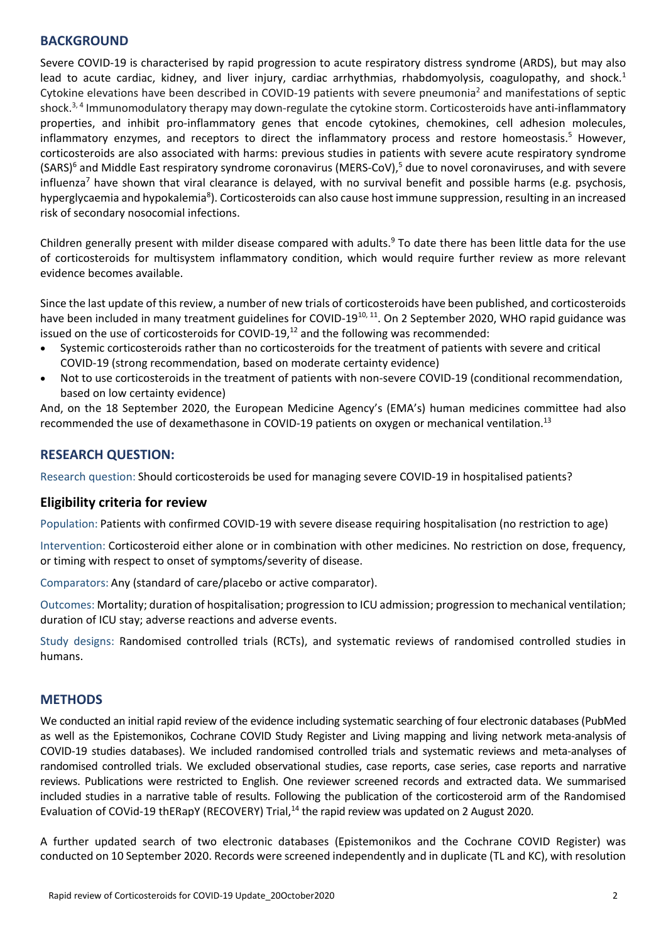### **BACKGROUND**

Severe COVID‐19 is characterised by rapid progression to acute respiratory distress syndrome (ARDS), but may also lead to acute cardiac, kidney, and liver injury, cardiac arrhythmias, rhabdomyolysis, coagulopathy, and shock. $1$ Cytokine elevations have been described in COVID-19 patients with severe pneumonia<sup>2</sup> and manifestations of septic shock.<sup>3, 4</sup> Immunomodulatory therapy may down-regulate the cytokine storm. Corticosteroids have anti-inflammatory properties, and inhibit pro-inflammatory genes that encode cytokines, chemokines, cell adhesion molecules, inflammatory enzymes, and receptors to direct the inflammatory process and restore homeostasis.<sup>5</sup> However, corticosteroids are also associated with harms: previous studies in patients with severe acute respiratory syndrome (SARS)<sup>6</sup> and Middle East respiratory syndrome coronavirus (MERS-CoV),<sup>5</sup> due to novel coronaviruses, and with severe influenza<sup>7</sup> have shown that viral clearance is delayed, with no survival benefit and possible harms (e.g. psychosis, hyperglycaemia and hypokalemia<sup>8</sup>). Corticosteroids can also cause host immune suppression, resulting in an increased risk of secondary nosocomial infections.

Children generally present with milder disease compared with adults.<sup>9</sup> To date there has been little data for the use of corticosteroids for multisystem inflammatory condition, which would require further review as more relevant evidence becomes available.

Since the last update of this review, a number of new trials of corticosteroids have been published, and corticosteroids have been included in many treatment guidelines for COVID-19<sup>10, 11</sup>. On 2 September 2020, WHO rapid guidance was issued on the use of corticosteroids for COVID-19, $^{12}$  and the following was recommended:

- Systemic corticosteroids rather than no corticosteroids for the treatment of patients with severe and critical COVID‐19 (strong recommendation, based on moderate certainty evidence)
- Not to use corticosteroids in the treatment of patients with non-severe COVID-19 (conditional recommendation, based on low certainty evidence)

And, on the 18 September 2020, the European Medicine Agency's (EMA's) human medicines committee had also recommended the use of dexamethasone in COVID-19 patients on oxygen or mechanical ventilation.<sup>13</sup>

## **RESEARCH QUESTION:**

Research question: Should corticosteroids be used for managing severe COVID‐19 in hospitalised patients?

### **Eligibility criteria for review**

Population: Patients with confirmed COVID‐19 with severe disease requiring hospitalisation (no restriction to age)

Intervention: Corticosteroid either alone or in combination with other medicines. No restriction on dose, frequency, or timing with respect to onset of symptoms/severity of disease.

Comparators: Any (standard of care/placebo or active comparator).

Outcomes: Mortality; duration of hospitalisation; progression to ICU admission; progression to mechanical ventilation; duration of ICU stay; adverse reactions and adverse events.

Study designs: Randomised controlled trials (RCTs), and systematic reviews of randomised controlled studies in humans.

### **METHODS**

We conducted an initial rapid review of the evidence including systematic searching of four electronic databases (PubMed as well as the Epistemonikos, Cochrane COVID Study Register and Living mapping and living network meta-analysis of COVID-19 studies databases). We included randomised controlled trials and systematic reviews and meta-analyses of randomised controlled trials. We excluded observational studies, case reports, case series, case reports and narrative reviews. Publications were restricted to English. One reviewer screened records and extracted data. We summarised included studies in a narrative table of results. Following the publication of the corticosteroid arm of the Randomised Evaluation of COVid-19 thERapY (RECOVERY) Trial,<sup>14</sup> the rapid review was updated on 2 August 2020.

A further updated search of two electronic databases (Epistemonikos and the Cochrane COVID Register) was conducted on 10 September 2020. Records were screened independently and in duplicate (TL and KC), with resolution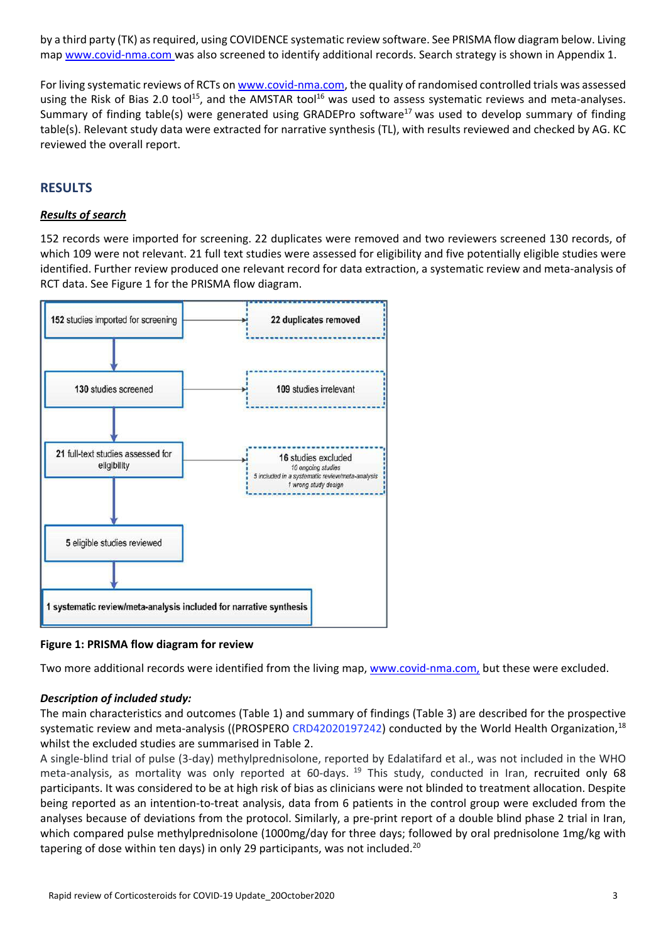by a third party (TK) as required, using COVIDENCE systematic review software. See PRISMA flow diagram below. Living map www.covid-nma.com was also screened to identify additional records. Search strategy is shown in Appendix 1.

For living systematic reviews of RCTs on www.covid-nma.com, the quality of randomised controlled trials was assessed using the Risk of Bias 2.0 tool<sup>15</sup>, and the AMSTAR  $\text{tool}^{16}$  was used to assess systematic reviews and meta-analyses. Summary of finding table(s) were generated using GRADEPro software<sup>17</sup> was used to develop summary of finding table(s). Relevant study data were extracted for narrative synthesis (TL), with results reviewed and checked by AG. KC reviewed the overall report.

## **RESULTS**

### *Results of search*

152 records were imported for screening. 22 duplicates were removed and two reviewers screened 130 records, of which 109 were not relevant. 21 full text studies were assessed for eligibility and five potentially eligible studies were identified. Further review produced one relevant record for data extraction, a systematic review and meta-analysis of RCT data. See Figure 1 for the PRISMA flow diagram.



**Figure 1: PRISMA flow diagram for review** 

Two more additional records were identified from the living map, www.covid‐nma.com, but these were excluded.

#### *Description of included study:*

The main characteristics and outcomes (Table 1) and summary of findings (Table 3) are described for the prospective systematic review and meta-analysis ((PROSPERO CRD42020197242) conducted by the World Health Organization,<sup>18</sup> whilst the excluded studies are summarised in Table 2.

A single‐blind trial of pulse (3‐day) methylprednisolone, reported by Edalatifard et al., was not included in the WHO meta-analysis, as mortality was only reported at 60-days.  $19$  This study, conducted in Iran, recruited only 68 participants. It was considered to be at high risk of bias as clinicians were not blinded to treatment allocation. Despite being reported as an intention‐to‐treat analysis, data from 6 patients in the control group were excluded from the analyses because of deviations from the protocol. Similarly, a pre‐print report of a double blind phase 2 trial in Iran, which compared pulse methylprednisolone (1000mg/day for three days; followed by oral prednisolone 1mg/kg with tapering of dose within ten days) in only 29 participants, was not included.<sup>20</sup>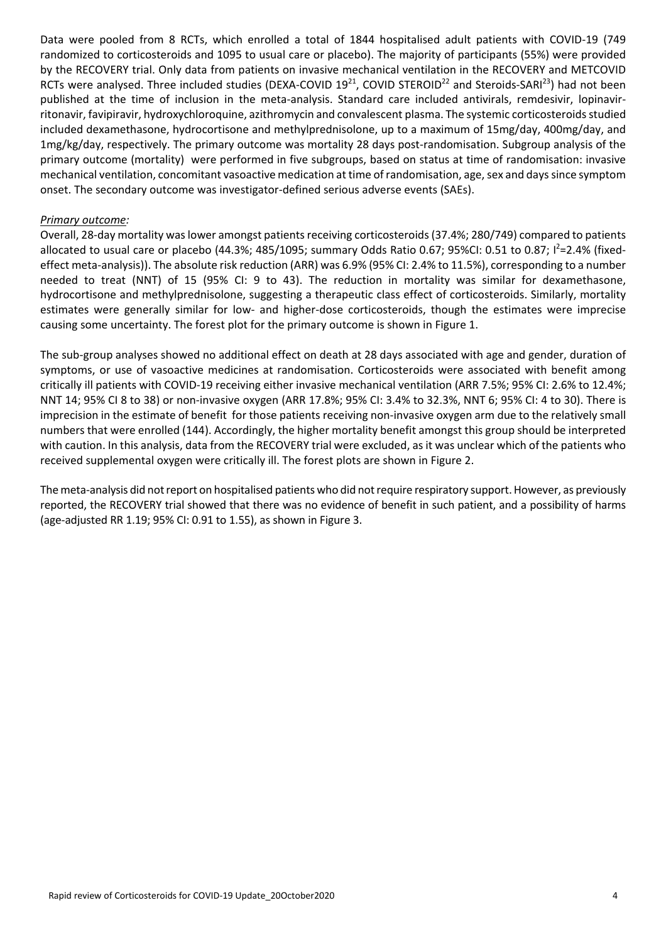Data were pooled from 8 RCTs, which enrolled a total of 1844 hospitalised adult patients with COVID-19 (749 randomized to corticosteroids and 1095 to usual care or placebo). The majority of participants (55%) were provided by the RECOVERY trial. Only data from patients on invasive mechanical ventilation in the RECOVERY and METCOVID RCTs were analysed. Three included studies (DEXA-COVID 19<sup>21</sup>, COVID STEROID<sup>22</sup> and Steroids-SARI<sup>23</sup>) had not been published at the time of inclusion in the meta-analysis. Standard care included antivirals, remdesivir, lopinavirritonavir, favipiravir, hydroxychloroquine, azithromycin and convalescent plasma. The systemic corticosteroids studied included dexamethasone, hydrocortisone and methylprednisolone, up to a maximum of 15mg/day, 400mg/day, and 1mg/kg/day, respectively. The primary outcome was mortality 28 days post-randomisation. Subgroup analysis of the primary outcome (mortality) were performed in five subgroups, based on status at time of randomisation: invasive mechanical ventilation, concomitant vasoactive medication at time of randomisation, age, sex and days since symptom onset. The secondary outcome was investigator‐defined serious adverse events (SAEs).

#### *Primary outcome:*

Overall, 28‐day mortality was lower amongst patients receiving corticosteroids (37.4%; 280/749) compared to patients allocated to usual care or placebo (44.3%; 485/1095; summary Odds Ratio 0.67; 95%CI: 0.51 to 0.87; I<sup>2</sup>=2.4% (fixedeffect meta-analysis)). The absolute risk reduction (ARR) was 6.9% (95% CI: 2.4% to 11.5%), corresponding to a number needed to treat (NNT) of 15 (95% CI: 9 to 43). The reduction in mortality was similar for dexamethasone, hydrocortisone and methylprednisolone, suggesting a therapeutic class effect of corticosteroids. Similarly, mortality estimates were generally similar for low‐ and higher‐dose corticosteroids, though the estimates were imprecise causing some uncertainty. The forest plot for the primary outcome is shown in Figure 1.

The sub‐group analyses showed no additional effect on death at 28 days associated with age and gender, duration of symptoms, or use of vasoactive medicines at randomisation. Corticosteroids were associated with benefit among critically ill patients with COVID‐19 receiving either invasive mechanical ventilation (ARR 7.5%; 95% CI: 2.6% to 12.4%; NNT 14; 95% CI 8 to 38) or non‐invasive oxygen (ARR 17.8%; 95% CI: 3.4% to 32.3%, NNT 6; 95% CI: 4 to 30). There is imprecision in the estimate of benefit for those patients receiving non-invasive oxygen arm due to the relatively small numbers that were enrolled (144). Accordingly, the higher mortality benefit amongst this group should be interpreted with caution. In this analysis, data from the RECOVERY trial were excluded, as it was unclear which of the patients who received supplemental oxygen were critically ill. The forest plots are shown in Figure 2.

The meta-analysis did not report on hospitalised patients who did not require respiratory support. However, as previously reported, the RECOVERY trial showed that there was no evidence of benefit in such patient, and a possibility of harms (age‐adjusted RR 1.19; 95% CI: 0.91 to 1.55), as shown in Figure 3.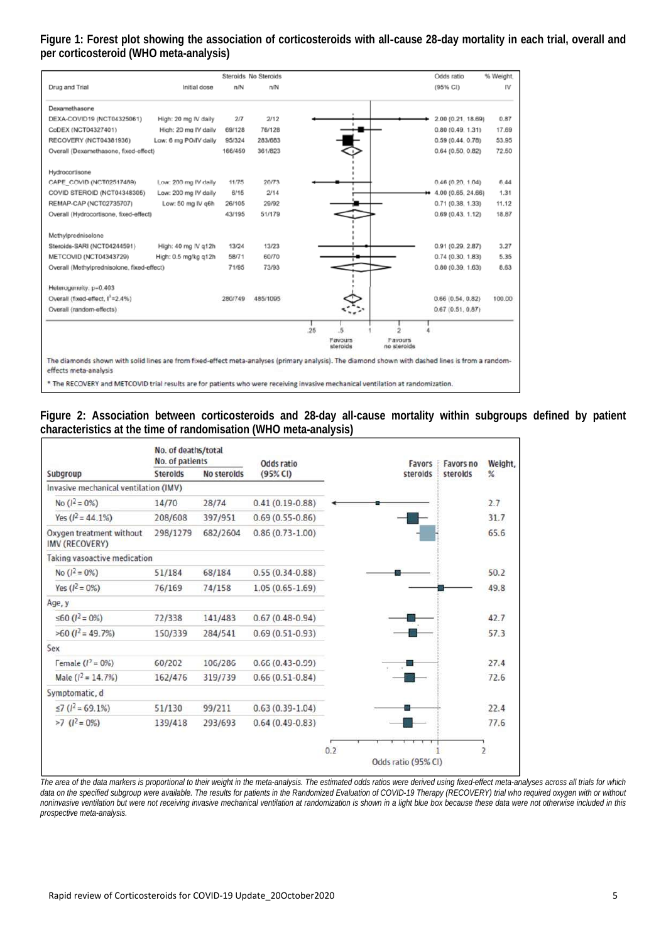### **Figure 1: Forest plot showing the association of corticosteroids with all**-**cause 28**-**day mortality in each trial, overall and per corticosteroid (WHO meta-analysis)**

|                                                                                                                                                   |                       |         | Steroids No Steroids |    |                            |                        | Odds ratio          | % Weight, |
|---------------------------------------------------------------------------------------------------------------------------------------------------|-----------------------|---------|----------------------|----|----------------------------|------------------------|---------------------|-----------|
| Drug and Trial                                                                                                                                    | Initial dose          | n/N     | n/N                  |    |                            |                        | (95% CI)            | IV        |
| Dexamethasone                                                                                                                                     |                       |         |                      |    |                            |                        |                     |           |
| DEXA-COVID19 (NCT04325061)                                                                                                                        | High: 20 mg IV daily  | 2/7     | 2/12                 |    |                            |                        | 2.00 (0.21, 18.69)  | 0.87      |
| CoDEX (NCT04327401)                                                                                                                               | High: 20 mg IV daily  | 69/128  | 76/128               |    |                            |                        | 0.80(0.49, 1.31)    | 17.69     |
| RECOVERY (NCT04381936)                                                                                                                            | Low: 6 mg PO/IV daily | 95/324  | 283/683              |    |                            |                        | 0.59(0.44, 0.78)    | 53.95     |
| Overall (Dexamethasone, fixed-effect)                                                                                                             |                       | 166/459 | 361/823              |    |                            |                        | $0.64$ (0.50, 0.82) | 72.50     |
|                                                                                                                                                   |                       |         |                      |    |                            |                        |                     |           |
| Hydrocortisone                                                                                                                                    |                       |         |                      |    |                            |                        |                     |           |
| CAPE COVID (NCT02517489)                                                                                                                          | Low: 200 mg IV daily  | 11/75   | 20/73                |    |                            |                        | 0.46(0.20, 1.04)    | 6.44      |
| COVID STEROID (NCT04348305)                                                                                                                       | Low: 200 mg IV daily  | 6/15    | 2/14                 |    |                            |                        | 4.00 (0.65, 24.66)  | 1.31      |
| REMAP-CAP (NCT02735707)                                                                                                                           | Low: 50 mg IV g6h     | 26/105  | 29/92                |    |                            |                        | 0.71(0.38, 1.33)    | 11.12     |
| Overall (Hydrocortisone, fixed-effect)                                                                                                            |                       | 43/195  | 51/179               |    |                            |                        | 0.69(0.43, 1.12)    | 18.87     |
| Mothylprodnisolono                                                                                                                                |                       |         |                      |    |                            |                        |                     |           |
| Steroids-SARI (NCT04244591)                                                                                                                       | High: 40 mg IV q12h   | 13/24   | 13/23                |    |                            |                        | 0.91(0.29, 2.87)    | 3.27      |
| METCOVID (NCT04343729)                                                                                                                            | High: 0.5 mg/kg q12h  | 58/71   | 60/70                |    |                            |                        | 0.74(0.30, 1.83)    | 5.35      |
| Overall (Methylprednisolone, fixed-effect)                                                                                                        |                       | 71/95   | 73/93                |    |                            |                        | 0.80(0.39, 1.63)    | 8.63      |
| Heterogeneity, p=0.403                                                                                                                            |                       |         |                      |    |                            |                        |                     |           |
| Overall (fixed-effect, I'=2.4%)                                                                                                                   |                       | 280/749 | 485/1095             |    |                            |                        | 0.66(0.54, 0.82)    | 100.00    |
| Overall (random-effects)                                                                                                                          |                       |         |                      |    |                            |                        | 0.67(0.51, 0.87)    |           |
|                                                                                                                                                   |                       |         |                      | 25 |                            |                        |                     |           |
|                                                                                                                                                   |                       |         |                      |    | <b>Favours</b><br>steroids | Payours<br>no steroids |                     |           |
| The diamonds shown with solid lines are from fixed-effect meta-analyses (primary analysis). The diamond shown with dashed lines is from a random- |                       |         |                      |    |                            |                        |                     |           |
| effects meta-analysis                                                                                                                             |                       |         |                      |    |                            |                        |                     |           |
| * The RECOVERY and METCOVID trial results are for nationts who were receiving invasive mechanical ventilation at randomization.                   |                       |         |                      |    |                            |                        |                     |           |

**Figure 2: Association between corticosteroids and 28-day all-cause mortality within subgroups defined by patient characteristics at the time of randomisation (WHO meta-analysis)** 

|                                                   | No. of deaths/total<br>No. of patients |             | Odds ratio          |     | <b>Favors</b>       | <b>Favors no</b> | Weight,        |
|---------------------------------------------------|----------------------------------------|-------------|---------------------|-----|---------------------|------------------|----------------|
| Subgroup                                          | <b>Steroids</b>                        | No steroids | (95% CI)            |     | steroids            |                  | %              |
| Invasive mechanical ventilation (IMV)             |                                        |             |                     |     |                     |                  |                |
| No $(l^2 = 0\%)$                                  | 14/70                                  | 28/74       | $0.41(0.19 - 0.88)$ |     |                     |                  | 2.7            |
| Yes $(l^2 = 44.1\%)$                              | 208/608                                | 397/951     | $0.69(0.55 - 0.86)$ |     |                     |                  | 31.7           |
| Oxygen treatment without<br><b>IMV (RECOVERY)</b> | 298/1279                               | 682/2604    | $0.86(0.73-1.00)$   |     |                     |                  | 65.6           |
| Taking vasoactive medication                      |                                        |             |                     |     |                     |                  |                |
| No $(l^2 = 0\%)$                                  | 51/184                                 | 68/184      | $0.55(0.34 - 0.88)$ |     |                     |                  | 50.2           |
| Yes $(l^2 = 0\%)$                                 | 76/169                                 | 74/158      | $1.05(0.65 - 1.69)$ |     |                     |                  | 49.8           |
| Age, y                                            |                                        |             |                     |     |                     |                  |                |
| ≤60 ( $I^2$ = 0%)                                 | 72/338                                 | 141/483     | $0.67(0.48 - 0.94)$ |     |                     |                  | 42.7           |
| $>60 (l^2 = 49.7\%)$                              | 150/339                                | 284/541     | $0.69(0.51-0.93)$   |     |                     |                  | 57.3           |
| Sex                                               |                                        |             |                     |     |                     |                  |                |
| Female $(I^2 = 0\%)$                              | 60/202                                 | 106/286     | $0.66(0.43 - 0.99)$ |     |                     |                  | 27.4           |
| Male $(l^2 = 14.7%)$                              | 162/476                                | 319/739     | $0.66(0.51-0.84)$   |     |                     |                  | 72.6           |
| Symptomatic, d                                    |                                        |             |                     |     |                     |                  |                |
| $\leq$ 7 ( $I^2$ = 69.1%)                         | 51/130                                 | 99/211      | $0.63(0.39-1.04)$   |     |                     |                  | 22.4           |
| $>7$ ( $l^2 = 0\%$ )                              | 139/418                                | 293/693     | $0.64(0.49-0.83)$   |     |                     |                  | 77.6           |
|                                                   |                                        |             |                     | 0.2 |                     |                  | $\overline{2}$ |
|                                                   |                                        |             |                     |     | Odds ratio (95% CI) |                  |                |

*The area of the data markers is proportional to their weight in the meta-analysis. The estimated odds ratios were derived using fixed-effect meta-analyses across all trials for which*  data on the specified subgroup were available. The results for patients in the Randomized Evaluation of COVID-19 Therapy (RECOVERY) trial who required oxygen with or without *noninvasive ventilation but were not receiving invasive mechanical ventilation at randomization is shown in a light blue box because these data were not otherwise included in this prospective meta-analysis.*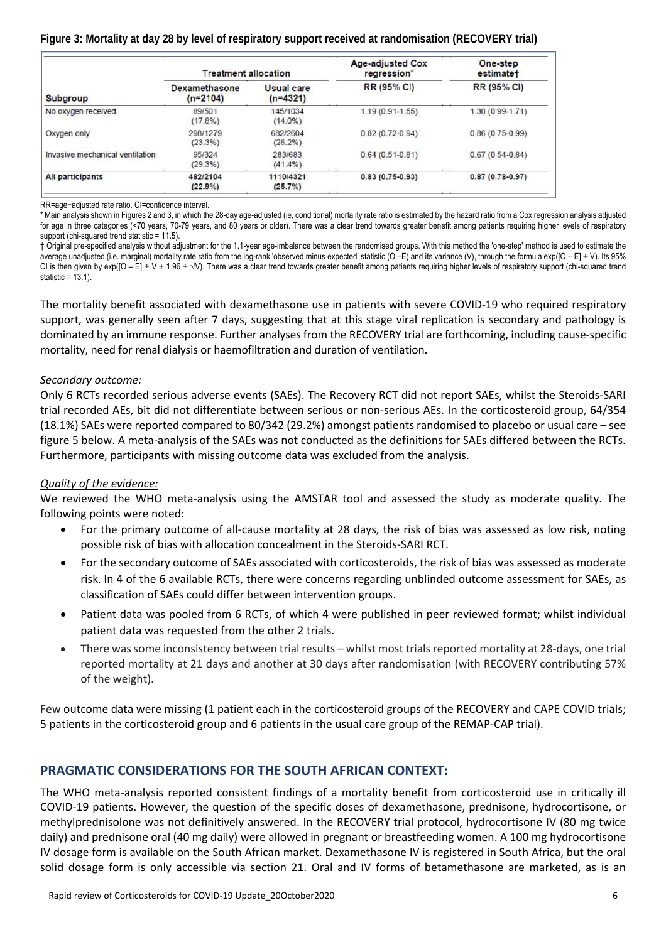### **Figure 3: Mortality at day 28 by level of respiratory support received at randomisation (RECOVERY trial)**

|                                 | <b>Treatment allocation</b> |                          | Age-adjusted Cox<br>regression* | One-step<br>estimate+ |  |
|---------------------------------|-----------------------------|--------------------------|---------------------------------|-----------------------|--|
| <b>Subgroup</b>                 | Dexamethasone<br>$(n=2104)$ | Usual care<br>$(n=4321)$ | RR (95% CI)                     | RR (95% CI)           |  |
| No oxygen received              | 89/501<br>$(17.8\%)$        | 145/1034<br>$(14.0\%)$   | $1.19(0.91 - 1.55)$             | $1.30(0.99 - 1.71)$   |  |
| Oxygen only                     | 298/1279<br>$(23.3\%)$      | 682/2604<br>(26.2%)      | $0.82(0.72 - 0.94)$             | $0.86(0.75-0.99)$     |  |
| Invasive mechanical ventilation | 95/324<br>(29.3%)           | 283/683<br>$(41.4\%)$    | $0.64(0.51-0.81)$               | $0.67(0.54-0.84)$     |  |
| <b>All participants</b>         | 482/2104<br>(22.9%)         | 1110/4321<br>(25.7%)     | $0.83(0.75 - 0.93)$             | $0.87(0.78 - 0.97)$   |  |

RR=age−adjusted rate ratio. CI=confidence interval.

\* Main analysis shown in Figures 2 and 3, in which the 28-day age-adjusted (ie, conditional) mortality rate ratio is estimated by the hazard ratio from a Cox regression analysis adjusted for age in three categories (<70 years, 70-79 years, and 80 years or older). There was a clear trend towards greater benefit among patients requiring higher levels of respiratory support (chi-squared trend statistic = 11.5).

† Original pre-specified analysis without adjustment for the 1.1-year age-imbalance between the randomised groups. With this method the 'one-step' method is used to estimate the average unadjusted (i.e. marginal) mortality rate ratio from the log-rank 'observed minus expected' statistic (O -E) and its variance (V), through the formula exp([O - E] ÷ V). Its 95% CI is then given by exp( $[O - E] + V \pm 1.96 + \sqrt{V}$ ). There was a clear trend towards greater benefit among patients requiring higher levels of respiratory support (chi-squared trend statistic =  $13.1$ ).

The mortality benefit associated with dexamethasone use in patients with severe COVID‐19 who required respiratory support, was generally seen after 7 days, suggesting that at this stage viral replication is secondary and pathology is dominated by an immune response. Further analyses from the RECOVERY trial are forthcoming, including cause‐specific mortality, need for renal dialysis or haemofiltration and duration of ventilation.

#### *Secondary outcome:*

Only 6 RCTs recorded serious adverse events (SAEs). The Recovery RCT did not report SAEs, whilst the Steroids‐SARI trial recorded AEs, bit did not differentiate between serious or non‐serious AEs. In the corticosteroid group, 64/354 (18.1%) SAEs were reported compared to 80/342 (29.2%) amongst patients randomised to placebo or usual care – see figure 5 below. A meta-analysis of the SAEs was not conducted as the definitions for SAEs differed between the RCTs. Furthermore, participants with missing outcome data was excluded from the analysis.

### *Quality of the evidence:*

We reviewed the WHO meta-analysis using the AMSTAR tool and assessed the study as moderate quality. The following points were noted:

- For the primary outcome of all‐cause mortality at 28 days, the risk of bias was assessed as low risk, noting possible risk of bias with allocation concealment in the Steroids‐SARI RCT.
- For the secondary outcome of SAEs associated with corticosteroids, the risk of bias was assessed as moderate risk. In 4 of the 6 available RCTs, there were concerns regarding unblinded outcome assessment for SAEs, as classification of SAEs could differ between intervention groups.
- Patient data was pooled from 6 RCTs, of which 4 were published in peer reviewed format; whilst individual patient data was requested from the other 2 trials.
- There was some inconsistency between trial results whilst most trials reported mortality at 28‐days, one trial reported mortality at 21 days and another at 30 days after randomisation (with RECOVERY contributing 57% of the weight).

Few outcome data were missing (1 patient each in the corticosteroid groups of the RECOVERY and CAPE COVID trials; 5 patients in the corticosteroid group and 6 patients in the usual care group of the REMAP‐CAP trial).

## **PRAGMATIC CONSIDERATIONS FOR THE SOUTH AFRICAN CONTEXT:**

The WHO meta-analysis reported consistent findings of a mortality benefit from corticosteroid use in critically ill COVID‐19 patients. However, the question of the specific doses of dexamethasone, prednisone, hydrocortisone, or methylprednisolone was not definitively answered. In the RECOVERY trial protocol, hydrocortisone IV (80 mg twice daily) and prednisone oral (40 mg daily) were allowed in pregnant or breastfeeding women. A 100 mg hydrocortisone IV dosage form is available on the South African market. Dexamethasone IV is registered in South Africa, but the oral solid dosage form is only accessible via section 21. Oral and IV forms of betamethasone are marketed, as is an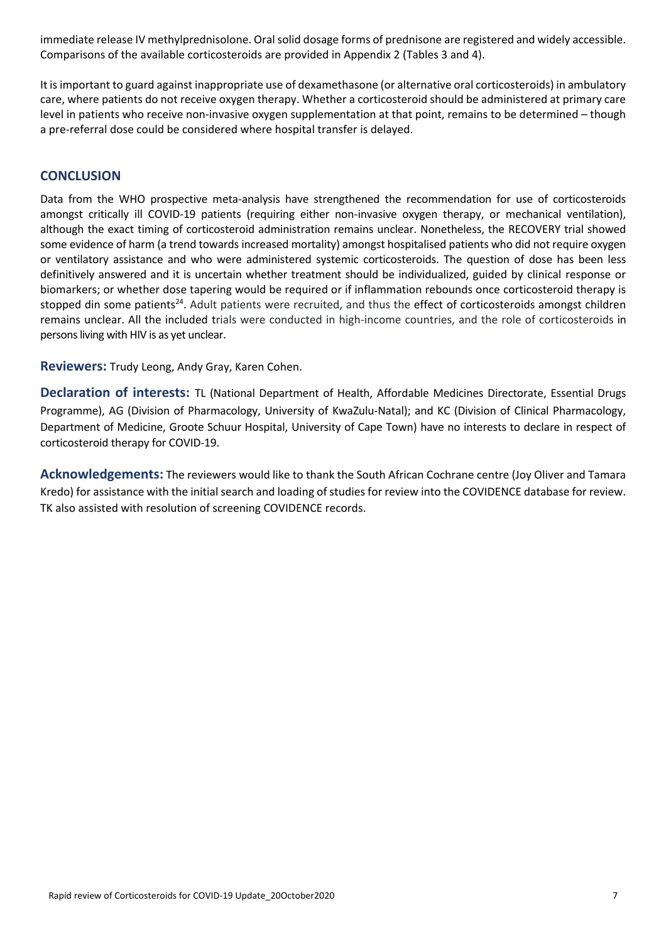immediate release IV methylprednisolone. Oral solid dosage forms of prednisone are registered and widely accessible. Comparisons of the available corticosteroids are provided in Appendix 2 (Tables 3 and 4).

It is important to guard against inappropriate use of dexamethasone (or alternative oral corticosteroids) in ambulatory care, where patients do not receive oxygen therapy. Whether a corticosteroid should be administered at primary care level in patients who receive non-invasive oxygen supplementation at that point, remains to be determined – though a pre‐referral dose could be considered where hospital transfer is delayed.

### **CONCLUSION**

Data from the WHO prospective meta-analysis have strengthened the recommendation for use of corticosteroids amongst critically ill COVID-19 patients (requiring either non-invasive oxygen therapy, or mechanical ventilation), although the exact timing of corticosteroid administration remains unclear. Nonetheless, the RECOVERY trial showed some evidence of harm (a trend towards increased mortality) amongst hospitalised patients who did not require oxygen or ventilatory assistance and who were administered systemic corticosteroids. The question of dose has been less definitively answered and it is uncertain whether treatment should be individualized, guided by clinical response or biomarkers; or whether dose tapering would be required or if inflammation rebounds once corticosteroid therapy is stopped din some patients<sup>24</sup>. Adult patients were recruited, and thus the effect of corticosteroids amongst children remains unclear. All the included trials were conducted in high-income countries, and the role of corticosteroids in persons living with HIV is as yet unclear.

**Reviewers:** Trudy Leong, Andy Gray, Karen Cohen.

**Declaration of interests:**  TL (National Department of Health, Affordable Medicines Directorate, Essential Drugs Programme), AG (Division of Pharmacology, University of KwaZulu‐Natal); and KC (Division of Clinical Pharmacology, Department of Medicine, Groote Schuur Hospital, University of Cape Town) have no interests to declare in respect of corticosteroid therapy for COVID‐19.

**Acknowledgements:** The reviewers would like to thank the South African Cochrane centre (Joy Oliver and Tamara Kredo) for assistance with the initial search and loading of studies for review into the COVIDENCE database for review. TK also assisted with resolution of screening COVIDENCE records.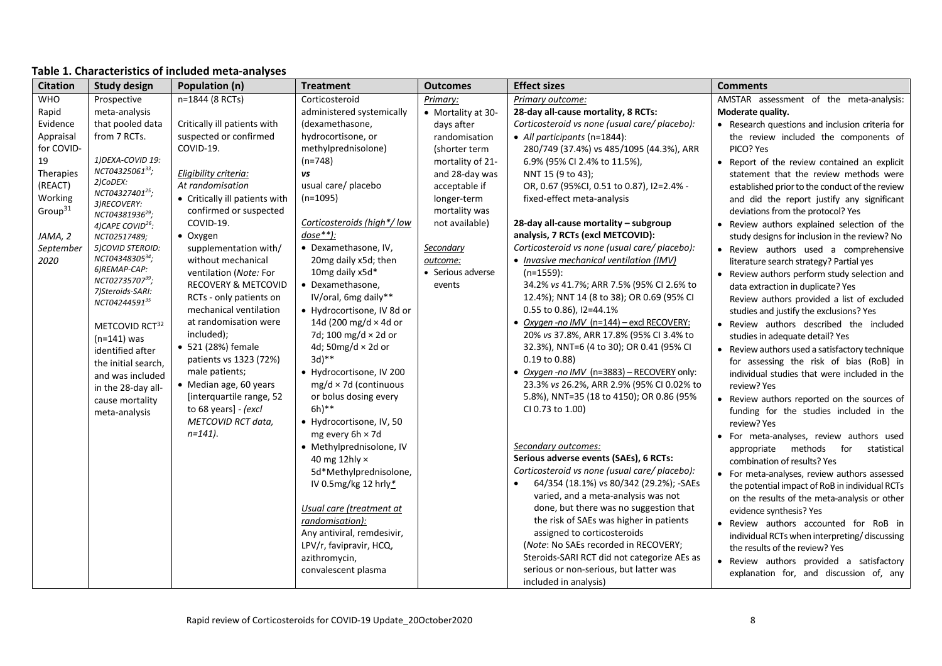| <b>Citation</b>     | <b>Study design</b>                     | Population (n)                 | <b>Treatment</b>             | <b>Outcomes</b>    | <b>Effect sizes</b>                           | <b>Comments</b>                                 |
|---------------------|-----------------------------------------|--------------------------------|------------------------------|--------------------|-----------------------------------------------|-------------------------------------------------|
| <b>WHO</b>          | Prospective                             | n=1844 (8 RCTs)                | Corticosteroid               | Primary:           | Primary outcome:                              | AMSTAR assessment of the meta-analysis:         |
| Rapid               | meta-analysis                           |                                | administered systemically    | • Mortality at 30- | 28-day all-cause mortality, 8 RCTs:           | Moderate quality.                               |
| Evidence            | that pooled data                        | Critically ill patients with   | (dexamethasone,              | days after         | Corticosteroid vs none (usual care/ placebo): | • Research questions and inclusion criteria for |
| Appraisal           | from 7 RCTs.                            | suspected or confirmed         | hydrocortisone, or           | randomisation      | • All participants (n=1844):                  | the review included the components of           |
| for COVID-          |                                         | COVID-19.                      | methylprednisolone)          | (shorter term      | 280/749 (37.4%) vs 485/1095 (44.3%), ARR      | PICO? Yes                                       |
| 19                  | 1) DEXA-COVID 19:                       |                                | $(n=748)$                    | mortality of 21-   | 6.9% (95% CI 2.4% to 11.5%),                  | • Report of the review contained an explicit    |
| Therapies           | NCT0432506133;                          | Eligibility criteria:          | vs                           | and 28-day was     | NNT 15 (9 to 43);                             | statement that the review methods were          |
| (REACT)             | 2)CoDEX:<br>NCT04327401 <sup>25</sup> ; | At randomisation               | usual care/ placebo          | acceptable if      | OR, 0.67 (95%CI, 0.51 to 0.87), I2=2.4% -     | established prior to the conduct of the review  |
| Working             | 3)RECOVERY:                             | • Critically ill patients with | $(n=1095)$                   | longer-term        | fixed-effect meta-analysis                    | and did the report justify any significant      |
| Group <sup>31</sup> | NCT04381936 <sup>29</sup> ;             | confirmed or suspected         |                              | mortality was      |                                               | deviations from the protocol? Yes               |
|                     | 4) CAPE COVID <sup>26</sup> :           | COVID-19.                      | Corticosteroids (high*/low   | not available)     | 28-day all-cause mortality - subgroup         | • Review authors explained selection of the     |
| JAMA, 2             | NCT02517489;                            | • Oxygen                       | $dose**$ ):                  |                    | analysis, 7 RCTs (excl METCOVID):             | study designs for inclusion in the review? No   |
| September           | 5) COVID STEROID:                       | supplementation with/          | • Dexamethasone, IV,         | Secondary          | Corticosteroid vs none (usual care/ placebo): | • Review authors used a comprehensive           |
| 2020                | NCT0434830534;                          | without mechanical             | 20mg daily x5d; then         | outcome:           | • Invasive mechanical ventilation (IMV)       | literature search strategy? Partial yes         |
|                     | 6)REMAP-CAP:                            | ventilation (Note: For         | 10mg daily x5d*              | • Serious adverse  | $(n=1559)$ :                                  | • Review authors perform study selection and    |
|                     | NCT0273570739;<br>7) Steroids-SARI:     | <b>RECOVERY &amp; METCOVID</b> | • Dexamethasone,             | events             | 34.2% vs 41.7%; ARR 7.5% (95% Cl 2.6% to      | data extraction in duplicate? Yes               |
|                     | NCT0424459135                           | RCTs - only patients on        | IV/oral, 6mg daily**         |                    | 12.4%); NNT 14 (8 to 38); OR 0.69 (95% CI     | Review authors provided a list of excluded      |
|                     |                                         | mechanical ventilation         | • Hydrocortisone, IV 8d or   |                    | 0.55 to 0.86), I2=44.1%                       | studies and justify the exclusions? Yes         |
|                     | METCOVID RCT <sup>32</sup>              | at randomisation were          | 14d (200 mg/d $\times$ 4d or |                    | • Oxygen-no IMV (n=144) - excl RECOVERY:      | . Review authors described the included         |
|                     | $(n=141)$ was                           | included);                     | 7d; 100 mg/d $\times$ 2d or  |                    | 20% vs 37.8%, ARR 17.8% (95% CI 3.4% to       | studies in adequate detail? Yes                 |
|                     | identified after                        | • 521 (28%) female             | 4d; 50mg/d $\times$ 2d or    |                    | 32.3%), NNT=6 (4 to 30); OR 0.41 (95% CI      | • Review authors used a satisfactory technique  |
|                     | the initial search,                     | patients vs 1323 (72%)         | $3d)$ **                     |                    | $0.19$ to $0.88$ )                            | for assessing the risk of bias (RoB) in         |
|                     | and was included                        | male patients;                 | • Hydrocortisone, IV 200     |                    | · Oxygen-no IMV (n=3883) - RECOVERY only:     | individual studies that were included in the    |
|                     | in the 28-day all-                      | • Median age, 60 years         | $mg/d \times 7d$ (continuous |                    | 23.3% vs 26.2%, ARR 2.9% (95% CI 0.02% to     | review? Yes                                     |
|                     | cause mortality                         | [interquartile range, 52       | or bolus dosing every        |                    | 5.8%), NNT=35 (18 to 4150); OR 0.86 (95%      | • Review authors reported on the sources of     |
|                     | meta-analysis                           | to 68 years] - (excl           | $6h)$ **                     |                    | CI 0.73 to 1.00)                              | funding for the studies included in the         |
|                     |                                         | METCOVID RCT data,             | • Hydrocortisone, IV, 50     |                    |                                               | review? Yes                                     |
|                     |                                         | $n=141$ ).                     | mg every 6h × 7d             |                    |                                               | • For meta-analyses, review authors used        |
|                     |                                         |                                | · Methylprednisolone, IV     |                    | Secondary outcomes:                           | appropriate methods<br>for<br>statistical       |
|                     |                                         |                                | 40 mg 12 hly $\times$        |                    | Serious adverse events (SAEs), 6 RCTs:        | combination of results? Yes                     |
|                     |                                         |                                | 5d*Methylprednisolone,       |                    | Corticosteroid vs none (usual care/ placebo): | • For meta-analyses, review authors assessed    |
|                     |                                         |                                | IV 0.5mg/kg 12 hrly*         |                    | 64/354 (18.1%) vs 80/342 (29.2%); -SAEs       | the potential impact of RoB in individual RCTs  |
|                     |                                         |                                |                              |                    | varied, and a meta-analysis was not           | on the results of the meta-analysis or other    |
|                     |                                         |                                | Usual care (treatment at     |                    | done, but there was no suggestion that        | evidence synthesis? Yes                         |
|                     |                                         |                                | randomisation):              |                    | the risk of SAEs was higher in patients       | • Review authors accounted for RoB in           |
|                     |                                         |                                | Any antiviral, remdesivir,   |                    | assigned to corticosteroids                   | individual RCTs when interpreting/discussing    |
|                     |                                         |                                | LPV/r, favipravir, HCQ,      |                    | (Note: No SAEs recorded in RECOVERY;          | the results of the review? Yes                  |
|                     |                                         |                                | azithromycin,                |                    | Steroids-SARI RCT did not categorize AEs as   | • Review authors provided a satisfactory        |
|                     |                                         |                                | convalescent plasma          |                    | serious or non-serious, but latter was        | explanation for, and discussion of, any         |
|                     |                                         |                                |                              |                    | included in analysis)                         |                                                 |

### **Table 1. Characteristics of included meta‐analyses**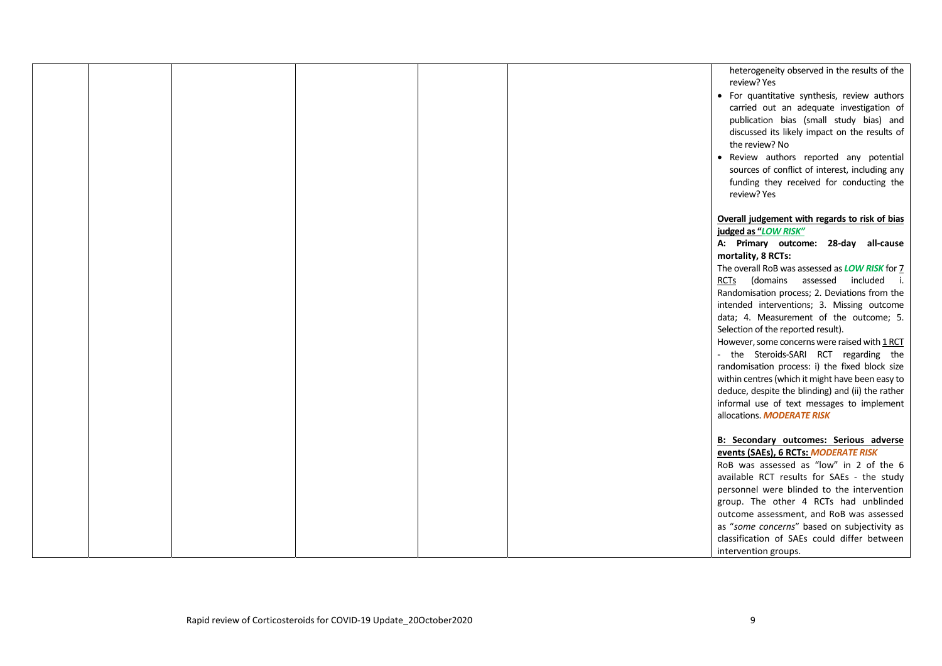|  |  |  | heterogeneity observed in the results of the<br>review? Yes                   |  |
|--|--|--|-------------------------------------------------------------------------------|--|
|  |  |  | • For quantitative synthesis, review authors                                  |  |
|  |  |  | carried out an adequate investigation of                                      |  |
|  |  |  | publication bias (small study bias) and                                       |  |
|  |  |  | discussed its likely impact on the results of                                 |  |
|  |  |  | the review? No                                                                |  |
|  |  |  | • Review authors reported any potential                                       |  |
|  |  |  | sources of conflict of interest, including any                                |  |
|  |  |  | funding they received for conducting the                                      |  |
|  |  |  | review? Yes                                                                   |  |
|  |  |  |                                                                               |  |
|  |  |  | Overall judgement with regards to risk of bias                                |  |
|  |  |  | judged as "LOW RISK"                                                          |  |
|  |  |  | A: Primary outcome: 28-day all-cause                                          |  |
|  |  |  | mortality, 8 RCTs:                                                            |  |
|  |  |  | The overall RoB was assessed as <b>LOW RISK</b> for 7                         |  |
|  |  |  | RCTs (domains assessed included i.                                            |  |
|  |  |  | Randomisation process; 2. Deviations from the                                 |  |
|  |  |  | intended interventions; 3. Missing outcome                                    |  |
|  |  |  | data; 4. Measurement of the outcome; 5.<br>Selection of the reported result). |  |
|  |  |  | However, some concerns were raised with 1 RCT                                 |  |
|  |  |  | - the Steroids-SARI RCT regarding the                                         |  |
|  |  |  | randomisation process: i) the fixed block size                                |  |
|  |  |  | within centres (which it might have been easy to                              |  |
|  |  |  | deduce, despite the blinding) and (ii) the rather                             |  |
|  |  |  | informal use of text messages to implement                                    |  |
|  |  |  | allocations. MODERATE RISK                                                    |  |
|  |  |  |                                                                               |  |
|  |  |  | <b>B: Secondary outcomes: Serious adverse</b>                                 |  |
|  |  |  | events (SAEs), 6 RCTs: MODERATE RISK                                          |  |
|  |  |  | RoB was assessed as "low" in 2 of the 6                                       |  |
|  |  |  | available RCT results for SAEs - the study                                    |  |
|  |  |  | personnel were blinded to the intervention                                    |  |
|  |  |  | group. The other 4 RCTs had unblinded                                         |  |
|  |  |  | outcome assessment, and RoB was assessed                                      |  |
|  |  |  | as "some concerns" based on subjectivity as                                   |  |
|  |  |  | classification of SAEs could differ between                                   |  |
|  |  |  | intervention groups.                                                          |  |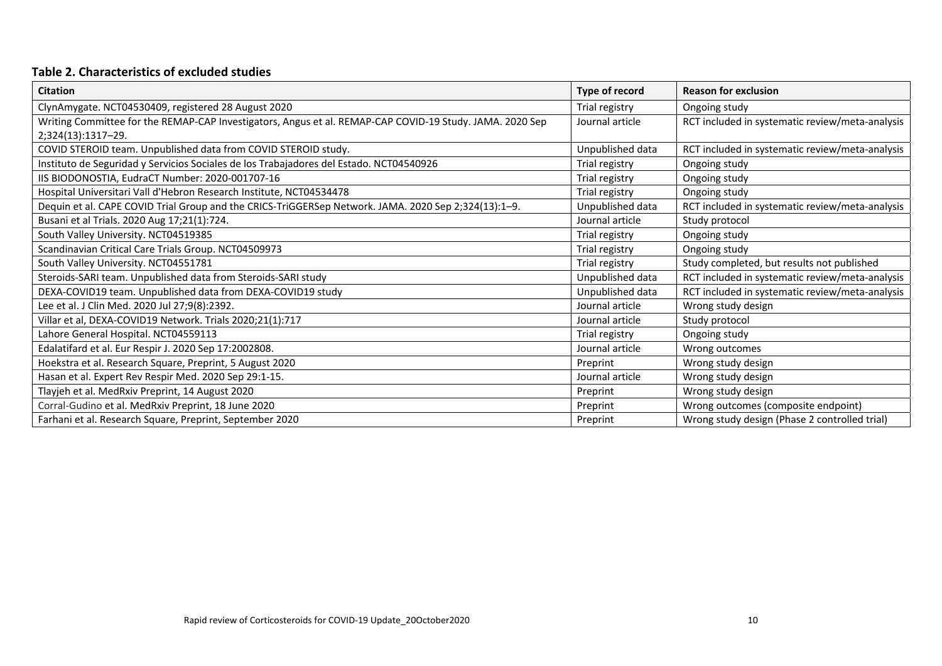### **Table 2. Characteristics of excluded studies**

| <b>Citation</b>                                                                                          | Type of record   | <b>Reason for exclusion</b>                     |
|----------------------------------------------------------------------------------------------------------|------------------|-------------------------------------------------|
| ClynAmygate. NCT04530409, registered 28 August 2020                                                      | Trial registry   | Ongoing study                                   |
| Writing Committee for the REMAP-CAP Investigators, Angus et al. REMAP-CAP COVID-19 Study. JAMA. 2020 Sep | Journal article  | RCT included in systematic review/meta-analysis |
| 2;324(13):1317-29.                                                                                       |                  |                                                 |
| COVID STEROID team. Unpublished data from COVID STEROID study.                                           | Unpublished data | RCT included in systematic review/meta-analysis |
| Instituto de Seguridad y Servicios Sociales de los Trabajadores del Estado. NCT04540926                  | Trial registry   | Ongoing study                                   |
| IIS BIODONOSTIA, EudraCT Number: 2020-001707-16                                                          | Trial registry   | Ongoing study                                   |
| Hospital Universitari Vall d'Hebron Research Institute, NCT04534478                                      | Trial registry   | Ongoing study                                   |
| Dequin et al. CAPE COVID Trial Group and the CRICS-TriGGERSep Network. JAMA. 2020 Sep 2;324(13):1-9.     | Unpublished data | RCT included in systematic review/meta-analysis |
| Busani et al Trials. 2020 Aug 17;21(1):724.                                                              | Journal article  | Study protocol                                  |
| South Valley University. NCT04519385                                                                     | Trial registry   | Ongoing study                                   |
| Scandinavian Critical Care Trials Group. NCT04509973                                                     | Trial registry   | Ongoing study                                   |
| South Valley University. NCT04551781                                                                     | Trial registry   | Study completed, but results not published      |
| Steroids-SARI team. Unpublished data from Steroids-SARI study                                            | Unpublished data | RCT included in systematic review/meta-analysis |
| DEXA-COVID19 team. Unpublished data from DEXA-COVID19 study                                              | Unpublished data | RCT included in systematic review/meta-analysis |
| Lee et al. J Clin Med. 2020 Jul 27;9(8):2392.                                                            | Journal article  | Wrong study design                              |
| Villar et al, DEXA-COVID19 Network. Trials 2020;21(1):717                                                | Journal article  | Study protocol                                  |
| Lahore General Hospital. NCT04559113                                                                     | Trial registry   | Ongoing study                                   |
| Edalatifard et al. Eur Respir J. 2020 Sep 17:2002808.                                                    | Journal article  | Wrong outcomes                                  |
| Hoekstra et al. Research Square, Preprint, 5 August 2020                                                 | Preprint         | Wrong study design                              |
| Hasan et al. Expert Rev Respir Med. 2020 Sep 29:1-15.                                                    | Journal article  | Wrong study design                              |
| Tlayjeh et al. MedRxiv Preprint, 14 August 2020                                                          | Preprint         | Wrong study design                              |
| Corral-Gudino et al. MedRxiv Preprint, 18 June 2020                                                      | Preprint         | Wrong outcomes (composite endpoint)             |
| Farhani et al. Research Square, Preprint, September 2020                                                 | Preprint         | Wrong study design (Phase 2 controlled trial)   |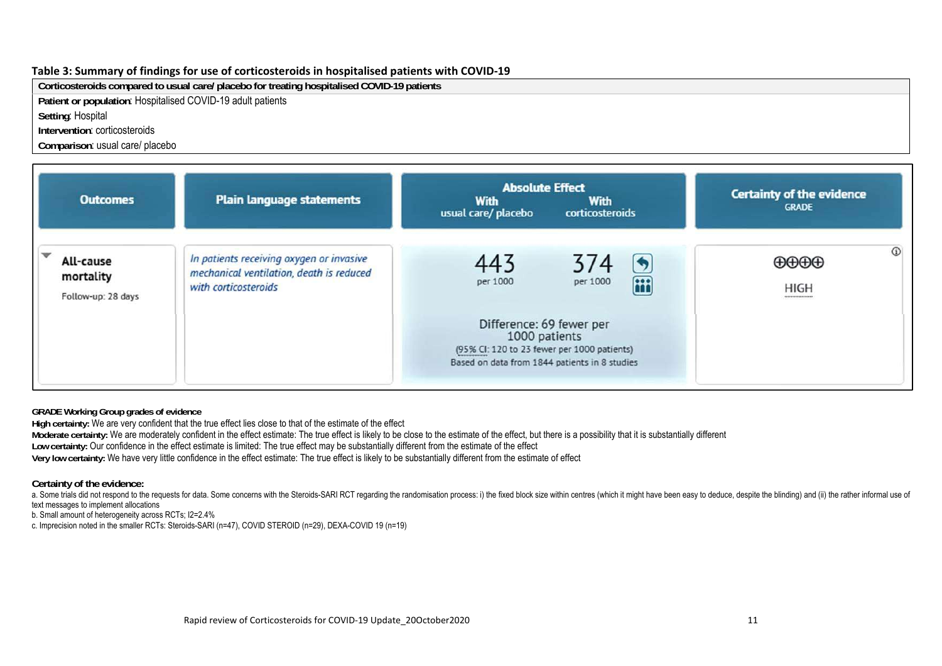#### **Table 3: Summary of findings for use of corticosteroids in hospitalised patients with COVID‐19**

**Corticosteroids compared to usual care/ placebo for treating hospitalised COVID-19 patients** 

**Patient or population**: Hospitalised COVID-19 adult patients

**Setting**: Hospital

**Intervention**: corticosteroids

**Comparison**: usual care/ placebo

| <b>Outcomes</b>                              | <b>Plain language statements</b>                                                                             | <b>Absolute Effect</b><br><b>With</b><br>With<br>usual care/ placebo<br>corticosteroids                                                   | <b>Certainty of the evidence</b><br><b>GRADE</b>    |
|----------------------------------------------|--------------------------------------------------------------------------------------------------------------|-------------------------------------------------------------------------------------------------------------------------------------------|-----------------------------------------------------|
| All-cause<br>mortality<br>Follow-up: 28 days | In patients receiving oxygen or invasive<br>mechanical ventilation, death is reduced<br>with corticosteroids | 443<br>374<br><b>iii</b><br>per 1000<br>per 1000                                                                                          | $\odot$<br>⊕⊕⊕⊕<br><b>HIGH</b><br>,,,,,,,,,,,,,,,,, |
|                                              |                                                                                                              | Difference: 69 fewer per<br>1000 patients<br>(95% CI: 120 to 23 fewer per 1000 patients)<br>Based on data from 1844 patients in 8 studies |                                                     |

**GRADE Working Group grades of evidence** 

**High certainty:** We are very confident that the true effect lies close to that of the estimate of the effect

**Moderate certainty:** We are moderately confident in the effect estimate: The true effect is likely to be close to the estimate of the effect, but there is a possibility that it is substantially different

**Low certainty:** Our confidence in the effect estimate is limited: The true effect may be substantially different from the estimate of the effect

**Very low certainty:** We have very little confidence in the effect estimate: The true effect is likely to be substantially different from the estimate of effect

**Certainty of the evidence:** 

a. Some trials did not respond to the requests for data. Some concerns with the Steroids-SARI RCT regarding the randomisation process: i) the fixed block size within centres (which it might have been easy to deduce, despit text messages to implement allocations

b. Small amount of heterogeneity across RCTs; I2=2.4%

c. Imprecision noted in the smaller RCTs: Steroids-SARI (n=47), COVID STEROID (n=29), DEXA-COVID 19 (n=19)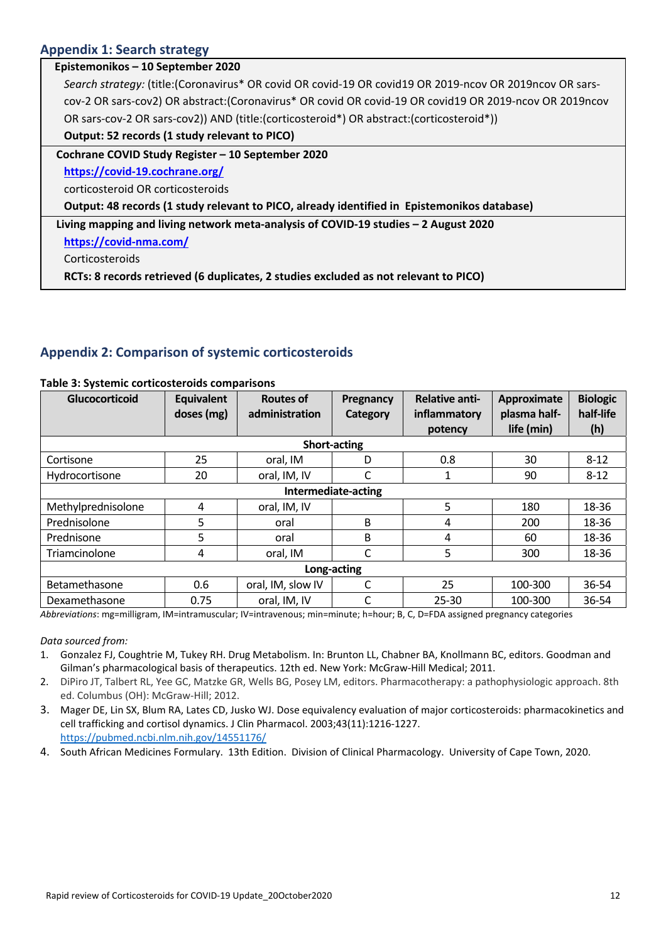## **Appendix 1: Search strategy**

| Epistemonikos - 10 September 2020                                                                        |
|----------------------------------------------------------------------------------------------------------|
| Search strategy: (title: (Coronavirus* OR covid OR covid-19 OR covid19 OR 2019-ncov OR 2019ncov OR sars- |
| cov-2 OR sars-cov2) OR abstract: (Coronavirus* OR covid OR covid-19 OR covid19 OR 2019-ncov OR 2019ncov  |
| OR sars-cov-2 OR sars-cov2) AND (title: (corticosteroid*) OR abstract: (corticosteroid*))                |
| Output: 52 records (1 study relevant to PICO)                                                            |
| Cochrane COVID Study Register - 10 September 2020                                                        |
| https://covid-19.cochrane.org/                                                                           |
| corticosteroid OR corticosteroids                                                                        |
| Output: 48 records (1 study relevant to PICO, already identified in Epistemonikos database)              |
| Living mapping and living network meta-analysis of COVID-19 studies - 2 August 2020                      |
| https://covid-nma.com/                                                                                   |
| Corticosteroids                                                                                          |
| RCTs: 8 records retrieved (6 duplicates, 2 studies excluded as not relevant to PICO)                     |

## **Appendix 2: Comparison of systemic corticosteroids**

| <b>Glucocorticoid</b> | <b>Equivalent</b> | <b>Routes of</b>  | Pregnancy           | <b>Relative anti-</b> | <b>Approximate</b> | <b>Biologic</b> |
|-----------------------|-------------------|-------------------|---------------------|-----------------------|--------------------|-----------------|
|                       | doses (mg)        | administration    | Category            | inflammatory          | plasma half-       | half-life       |
|                       |                   |                   |                     | potency               | life (min)         | (h)             |
|                       |                   |                   | <b>Short-acting</b> |                       |                    |                 |
| Cortisone             | 25                | oral, IM          | D                   | 0.8                   | 30                 | $8 - 12$        |
| Hydrocortisone        | 20                | oral, IM, IV      | C                   | 1                     | 90                 | $8 - 12$        |
| Intermediate-acting   |                   |                   |                     |                       |                    |                 |
| Methylprednisolone    | 4                 | oral, IM, IV      |                     | 5                     | 180                | 18-36           |
| Prednisolone          | 5                 | oral              | B                   | 4                     | 200                | 18-36           |
| Prednisone            | 5                 | oral              | B                   | 4                     | 60                 | 18-36           |
| Triamcinolone         | 4                 | oral, IM          | C                   | 5                     | 300                | 18-36           |
| Long-acting           |                   |                   |                     |                       |                    |                 |
| Betamethasone         | 0.6               | oral, IM, slow IV | C                   | 25                    | 100-300            | 36-54           |
| Dexamethasone         | 0.75              | oral, IM, IV      |                     | $25 - 30$             | 100-300            | 36-54           |

#### **Table 3: Systemic corticosteroids comparisons**

*Abbreviations*: mg=milligram, IM=intramuscular; IV=intravenous; min=minute; h=hour; B, C, D=FDA assigned pregnancy categories

#### *Data sourced from:*

- 1. Gonzalez FJ, Coughtrie M, Tukey RH. Drug Metabolism. In: Brunton LL, Chabner BA, Knollmann BC, editors. Goodman and Gilman's pharmacological basis of therapeutics. 12th ed. New York: McGraw‐Hill Medical; 2011.
- 2. DiPiro JT, Talbert RL, Yee GC, Matzke GR, Wells BG, Posey LM, editors. Pharmacotherapy: a pathophysiologic approach. 8th ed. Columbus (OH): McGraw‐Hill; 2012.
- 3. Mager DE, Lin SX, Blum RA, Lates CD, Jusko WJ. Dose equivalency evaluation of major corticosteroids: pharmacokinetics and cell trafficking and cortisol dynamics. J Clin Pharmacol. 2003;43(11):1216‐1227. https://pubmed.ncbi.nlm.nih.gov/14551176/
- 4. South African Medicines Formulary. 13th Edition. Division of Clinical Pharmacology. University of Cape Town, 2020.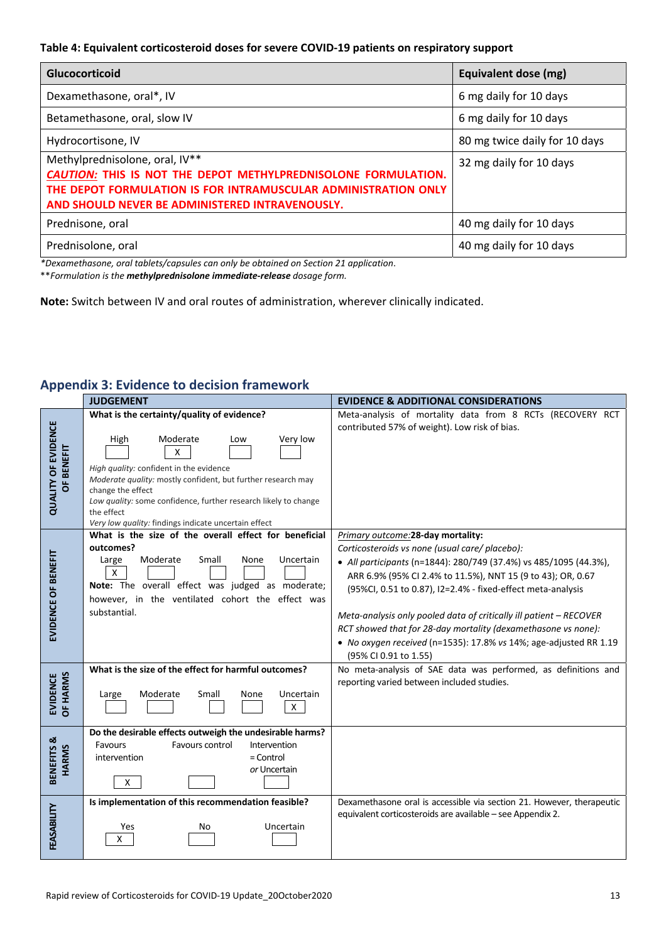#### **Table 4: Equivalent corticosteroid doses for severe COVID‐19 patients on respiratory support**

| <b>Glucocorticoid</b>                                                                                                                                                                                                 | Equivalent dose (mg)          |
|-----------------------------------------------------------------------------------------------------------------------------------------------------------------------------------------------------------------------|-------------------------------|
| Dexamethasone, oral*, IV                                                                                                                                                                                              | 6 mg daily for 10 days        |
| Betamethasone, oral, slow IV                                                                                                                                                                                          | 6 mg daily for 10 days        |
| Hydrocortisone, IV                                                                                                                                                                                                    | 80 mg twice daily for 10 days |
| Methylprednisolone, oral, IV**<br>CAUTION: THIS IS NOT THE DEPOT METHYLPREDNISOLONE FORMULATION.<br>THE DEPOT FORMULATION IS FOR INTRAMUSCULAR ADMINISTRATION ONLY<br>AND SHOULD NEVER BE ADMINISTERED INTRAVENOUSLY. | 32 mg daily for 10 days       |
| Prednisone, oral                                                                                                                                                                                                      | 40 mg daily for 10 days       |
| Prednisolone, oral                                                                                                                                                                                                    | 40 mg daily for 10 days       |

*\*Dexamethasone, oral tablets/capsules can only be obtained on Section 21 application*.

\*\**Formulation is the methylprednisolone immediate‐release dosage form.* 

**Note:** Switch between IV and oral routes of administration, wherever clinically indicated.

# **Appendix 3: Evidence to decision framework**

|                                          | <b>JUDGEMENT</b>                                                                                                                                                                                                                                                      | <b>EVIDENCE &amp; ADDITIONAL CONSIDERATIONS</b>                                                                                                                                                 |
|------------------------------------------|-----------------------------------------------------------------------------------------------------------------------------------------------------------------------------------------------------------------------------------------------------------------------|-------------------------------------------------------------------------------------------------------------------------------------------------------------------------------------------------|
|                                          | What is the certainty/quality of evidence?                                                                                                                                                                                                                            | Meta-analysis of mortality data from 8 RCTs (RECOVERY RCT<br>contributed 57% of weight). Low risk of bias.                                                                                      |
|                                          | High<br>Moderate<br>Very low<br>Low<br>X                                                                                                                                                                                                                              |                                                                                                                                                                                                 |
| <b>QUALITY OF EVIDENCE</b><br>OF BENEFIT | High quality: confident in the evidence<br>Moderate quality: mostly confident, but further research may<br>change the effect<br>Low quality: some confidence, further research likely to change<br>the effect<br>Very low quality: findings indicate uncertain effect |                                                                                                                                                                                                 |
|                                          | What is the size of the overall effect for beneficial                                                                                                                                                                                                                 | Primary outcome: 28-day mortality:                                                                                                                                                              |
|                                          | outcomes?                                                                                                                                                                                                                                                             | Corticosteroids vs none (usual care/ placebo):                                                                                                                                                  |
| EVIDENCE OF BENEFIT                      | Moderate<br>Small<br>Uncertain<br>Large<br>None<br>X<br>Note: The overall effect was judged as moderate;<br>however, in the ventilated cohort the effect was                                                                                                          | • All participants (n=1844): 280/749 (37.4%) vs 485/1095 (44.3%),<br>ARR 6.9% (95% CI 2.4% to 11.5%), NNT 15 (9 to 43); OR, 0.67<br>(95%CI, 0.51 to 0.87), I2=2.4% - fixed-effect meta-analysis |
|                                          | substantial.                                                                                                                                                                                                                                                          | Meta-analysis only pooled data of critically ill patient - RECOVER                                                                                                                              |
|                                          |                                                                                                                                                                                                                                                                       | RCT showed that for 28-day mortality (dexamethasone vs none):                                                                                                                                   |
|                                          |                                                                                                                                                                                                                                                                       | • No oxygen received (n=1535): 17.8% vs 14%; age-adjusted RR 1.19<br>(95% CI 0.91 to 1.55)                                                                                                      |
|                                          | What is the size of the effect for harmful outcomes?                                                                                                                                                                                                                  | No meta-analysis of SAE data was performed, as definitions and<br>reporting varied between included studies.                                                                                    |
| OF HARMS<br><b>EVIDENCE</b>              | Moderate<br>Small<br>Uncertain<br>None<br>Large<br>$\mathsf{X}$                                                                                                                                                                                                       |                                                                                                                                                                                                 |
|                                          | Do the desirable effects outweigh the undesirable harms?                                                                                                                                                                                                              |                                                                                                                                                                                                 |
| BENEFITS &                               | Favours control<br>Favours<br>Intervention<br>$=$ Control                                                                                                                                                                                                             |                                                                                                                                                                                                 |
| <b>HARMS</b>                             | intervention<br>or Uncertain                                                                                                                                                                                                                                          |                                                                                                                                                                                                 |
|                                          | $\mathsf{X}$                                                                                                                                                                                                                                                          |                                                                                                                                                                                                 |
|                                          | Is implementation of this recommendation feasible?                                                                                                                                                                                                                    | Dexamethasone oral is accessible via section 21. However, therapeutic<br>equivalent corticosteroids are available - see Appendix 2.                                                             |
| FEASABILITY                              | Uncertain<br>Yes<br>No<br>x                                                                                                                                                                                                                                           |                                                                                                                                                                                                 |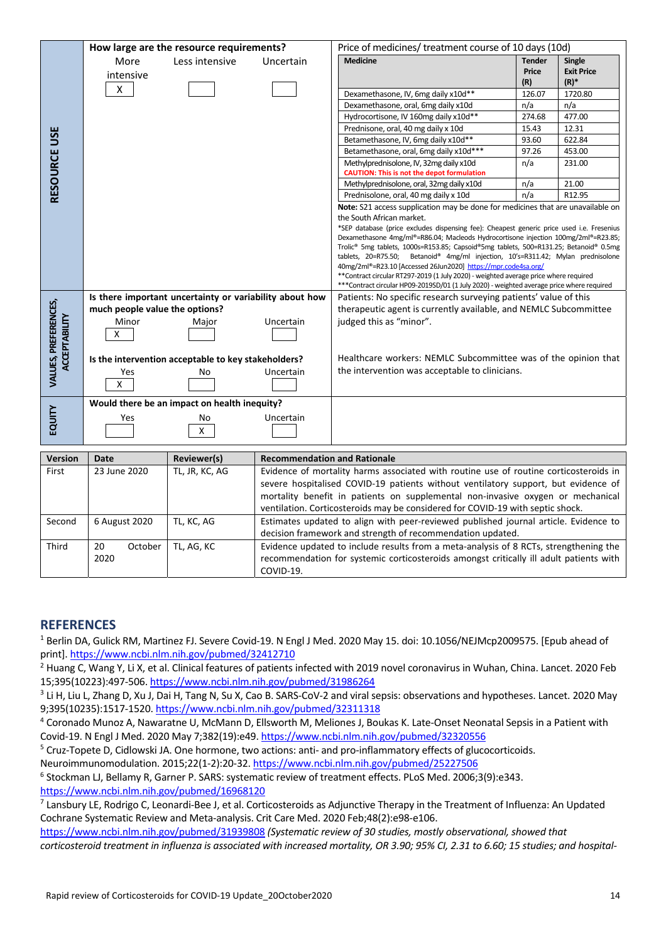|                                              | How large are the resource requirements?                |                                              |                                     | Price of medicines/ treatment course of 10 days (10d)                                                                                              |               |                   |
|----------------------------------------------|---------------------------------------------------------|----------------------------------------------|-------------------------------------|----------------------------------------------------------------------------------------------------------------------------------------------------|---------------|-------------------|
| RESOURCE USE                                 | More                                                    | Less intensive                               | Uncertain                           | <b>Medicine</b>                                                                                                                                    | <b>Tender</b> | <b>Single</b>     |
|                                              |                                                         |                                              |                                     |                                                                                                                                                    | Price         | <b>Exit Price</b> |
|                                              | intensive                                               |                                              |                                     |                                                                                                                                                    | (R)           | (R)               |
|                                              | X                                                       |                                              |                                     | Dexamethasone, IV, 6mg daily x10d**                                                                                                                | 126.07        | 1720.80           |
|                                              |                                                         |                                              |                                     | Dexamethasone, oral, 6mg daily x10d                                                                                                                | n/a           | n/a               |
|                                              |                                                         |                                              |                                     | Hydrocortisone, IV 160mg daily x10d**                                                                                                              | 274.68        | 477.00            |
|                                              |                                                         |                                              |                                     | Prednisone, oral, 40 mg daily x 10d                                                                                                                | 15.43         | 12.31             |
|                                              |                                                         |                                              |                                     | Betamethasone, IV, 6mg daily x10d**                                                                                                                | 93.60         | 622.84            |
|                                              |                                                         |                                              |                                     | Betamethasone, oral, 6mg daily x10d***                                                                                                             | 97.26         | 453.00            |
|                                              |                                                         |                                              |                                     | Methylprednisolone, IV, 32mg daily x10d                                                                                                            | n/a           | 231.00            |
|                                              |                                                         |                                              |                                     | <b>CAUTION: This is not the depot formulation</b>                                                                                                  |               |                   |
|                                              |                                                         |                                              |                                     | Methylprednisolone, oral, 32mg daily x10d                                                                                                          | n/a           | 21.00             |
|                                              |                                                         |                                              |                                     | Prednisolone, oral, 40 mg daily x 10d                                                                                                              | n/a           | R12.95            |
|                                              |                                                         |                                              |                                     | Note: S21 access supplication may be done for medicines that are unavailable on                                                                    |               |                   |
|                                              |                                                         |                                              |                                     | the South African market.                                                                                                                          |               |                   |
|                                              |                                                         |                                              |                                     | *SEP database (price excludes dispensing fee): Cheapest generic price used i.e. Fresenius                                                          |               |                   |
|                                              |                                                         |                                              |                                     | Dexamethasone 4mg/ml®=R86.04; Macleods Hydrocortisone injection 100mg/2ml®=R23.85;                                                                 |               |                   |
|                                              |                                                         |                                              |                                     | Trolic® 5mg tablets, 1000s=R153.85; Capsoid®5mg tablets, 500=R131.25; Betanoid® 0.5mg                                                              |               |                   |
|                                              |                                                         |                                              |                                     | tablets, 20=R75.50; Betanoid® 4mg/ml injection, 10's=R311.42; Mylan prednisolone<br>40mg/2ml®=R23.10 [Accessed 26Jun2020] https://mpr.code4sa.org/ |               |                   |
|                                              |                                                         |                                              |                                     | ** Contract circular RT297-2019 (1 July 2020) - weighted average price where required                                                              |               |                   |
|                                              |                                                         |                                              |                                     | *** Contract circular HP09-2019SD/01 (1 July 2020) - weighted average price where required                                                         |               |                   |
|                                              | Is there important uncertainty or variability about how |                                              |                                     | Patients: No specific research surveying patients' value of this                                                                                   |               |                   |
|                                              | much people value the options?                          |                                              |                                     | therapeutic agent is currently available, and NEMLC Subcommittee                                                                                   |               |                   |
|                                              | Minor                                                   | Major                                        | Uncertain                           | judged this as "minor".                                                                                                                            |               |                   |
| VALUES, PREFERENCES,<br><b>ACCEPTABILITY</b> | Χ                                                       |                                              |                                     |                                                                                                                                                    |               |                   |
|                                              |                                                         |                                              |                                     |                                                                                                                                                    |               |                   |
|                                              |                                                         |                                              |                                     |                                                                                                                                                    |               |                   |
|                                              | Is the intervention acceptable to key stakeholders?     |                                              |                                     | Healthcare workers: NEMLC Subcommittee was of the opinion that<br>the intervention was acceptable to clinicians.                                   |               |                   |
|                                              | Yes<br>X                                                | No                                           | Uncertain                           |                                                                                                                                                    |               |                   |
|                                              |                                                         |                                              |                                     |                                                                                                                                                    |               |                   |
|                                              |                                                         | Would there be an impact on health inequity? |                                     |                                                                                                                                                    |               |                   |
|                                              | Yes                                                     | No                                           | Uncertain                           |                                                                                                                                                    |               |                   |
| EQUITY                                       |                                                         |                                              |                                     |                                                                                                                                                    |               |                   |
|                                              |                                                         |                                              |                                     |                                                                                                                                                    |               |                   |
|                                              |                                                         | X                                            |                                     |                                                                                                                                                    |               |                   |
|                                              |                                                         |                                              |                                     |                                                                                                                                                    |               |                   |
| <b>Version</b>                               | Date                                                    | Reviewer(s)                                  | <b>Recommendation and Rationale</b> |                                                                                                                                                    |               |                   |
| First                                        | 23 June 2020                                            | TL, JR, KC, AG                               |                                     | Evidence of mortality harms associated with routine use of routine corticosteroids in                                                              |               |                   |
|                                              |                                                         |                                              |                                     | severe hospitalised COVID-19 patients without ventilatory support, but evidence of                                                                 |               |                   |
|                                              |                                                         |                                              |                                     | mortality benefit in patients on supplemental non-invasive oxygen or mechanical                                                                    |               |                   |
|                                              |                                                         |                                              |                                     | ventilation. Corticosteroids may be considered for COVID-19 with septic shock.                                                                     |               |                   |
| Second                                       | 6 August 2020                                           | TL, KC, AG                                   |                                     | Estimates updated to align with peer-reviewed published journal article. Evidence to                                                               |               |                   |
|                                              |                                                         |                                              |                                     | decision framework and strength of recommendation updated.                                                                                         |               |                   |
| Third                                        | 20<br>October                                           | TL, AG, KC                                   |                                     | Evidence updated to include results from a meta-analysis of 8 RCTs, strengthening the                                                              |               |                   |
|                                              | 2020                                                    |                                              |                                     |                                                                                                                                                    |               |                   |
|                                              |                                                         |                                              |                                     | recommendation for systemic corticosteroids amongst critically ill adult patients with                                                             |               |                   |
|                                              |                                                         |                                              | COVID-19.                           |                                                                                                                                                    |               |                   |
|                                              |                                                         |                                              |                                     |                                                                                                                                                    |               |                   |
|                                              |                                                         |                                              |                                     |                                                                                                                                                    |               |                   |
| <b>REFERENCES</b>                            |                                                         |                                              |                                     |                                                                                                                                                    |               |                   |

| First  | 23 June 2020                | TL, JR, KC, AG | Evidence of mortality harms associated with routine use of routine corticosteroids in<br>severe hospitalised COVID-19 patients without ventilatory support, but evidence of<br>mortality benefit in patients on supplemental non-invasive oxygen or mechanical<br>ventilation. Corticosteroids may be considered for COVID-19 with septic shock. |
|--------|-----------------------------|----------------|--------------------------------------------------------------------------------------------------------------------------------------------------------------------------------------------------------------------------------------------------------------------------------------------------------------------------------------------------|
| Second | 6 August 2020<br>TL, KC, AG |                | Estimates updated to align with peer-reviewed published journal article. Evidence to<br>decision framework and strength of recommendation updated.                                                                                                                                                                                               |
| Third  | 20<br>October<br>2020       | TL. AG. KC     | Evidence updated to include results from a meta-analysis of 8 RCTs, strengthening the<br>recommendation for systemic corticosteroids amongst critically ill adult patients with<br>COVID-19.                                                                                                                                                     |

#### **REFERENCES**

1 Berlin DA, Gulick RM, Martinez FJ. Severe Covid‐19. N Engl J Med. 2020 May 15. doi: 10.1056/NEJMcp2009575. [Epub ahead of print]. https://www.ncbi.nlm.nih.gov/pubmed/32412710

<sup>2</sup> Huang C, Wang Y, Li X, et al. Clinical features of patients infected with 2019 novel coronavirus in Wuhan, China. Lancet. 2020 Feb 15;395(10223):497‐506. https://www.ncbi.nlm.nih.gov/pubmed/31986264

 $^3$  Li H, Liu L, Zhang D, Xu J, Dai H, Tang N, Su X, Cao B. SARS-CoV-2 and viral sepsis: observations and hypotheses. Lancet. 2020 May 9;395(10235):1517‐1520. https://www.ncbi.nlm.nih.gov/pubmed/32311318

4 Coronado Munoz A, Nawaratne U, McMann D, Ellsworth M, Meliones J, Boukas K. Late‐Onset Neonatal Sepsis in a Patient with Covid‐19. N Engl J Med. 2020 May 7;382(19):e49. https://www.ncbi.nlm.nih.gov/pubmed/32320556

<sup>5</sup> Cruz-Topete D, Cidlowski JA. One hormone, two actions: anti- and pro-inflammatory effects of glucocorticoids.

Neuroimmunomodulation. 2015;22(1‐2):20‐32. https://www.ncbi.nlm.nih.gov/pubmed/25227506

6 Stockman LJ, Bellamy R, Garner P. SARS: systematic review of treatment effects. PLoS Med. 2006;3(9):e343. https://www.ncbi.nlm.nih.gov/pubmed/16968120

<sup>7</sup> Lansbury LE, Rodrigo C, Leonardi-Bee J, et al. Corticosteroids as Adjunctive Therapy in the Treatment of Influenza: An Updated Cochrane Systematic Review and Meta‐analysis. Crit Care Med. 2020 Feb;48(2):e98‐e106.

https://www.ncbi.nlm.nih.gov/pubmed/31939808 *(Systematic review of 30 studies, mostly observational, showed that corticosteroid treatment in influenza is associated with increased mortality, OR 3.90; 95% CI, 2.31 to 6.60; 15 studies; and hospital‐*